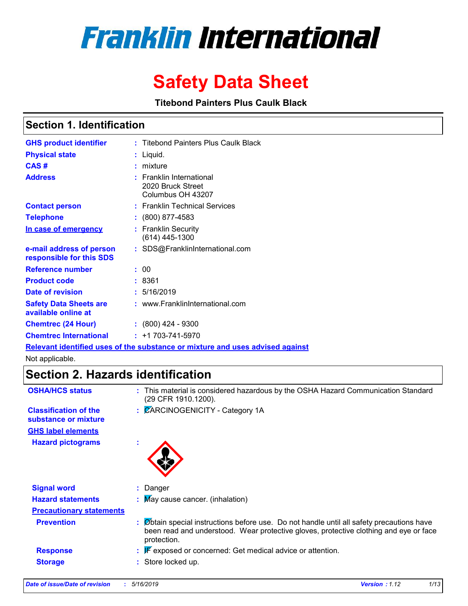

# **Safety Data Sheet**

**Titebond Painters Plus Caulk Black**

### **Section 1. Identification**

| <b>GHS product identifier</b>                        | : Titebond Painters Plus Caulk Black                                          |
|------------------------------------------------------|-------------------------------------------------------------------------------|
| <b>Physical state</b>                                | : Liquid.                                                                     |
| CAS#                                                 | : mixture                                                                     |
| <b>Address</b>                                       | $:$ Franklin International<br>2020 Bruck Street<br>Columbus OH 43207          |
| <b>Contact person</b>                                | : Franklin Technical Services                                                 |
| <b>Telephone</b>                                     | $: (800) 877 - 4583$                                                          |
| In case of emergency                                 | : Franklin Security<br>$(614)$ 445-1300                                       |
| e-mail address of person<br>responsible for this SDS | : SDS@FranklinInternational.com                                               |
| <b>Reference number</b>                              | : 00                                                                          |
| <b>Product code</b>                                  | : 8361                                                                        |
| Date of revision                                     | : 5/16/2019                                                                   |
| <b>Safety Data Sheets are</b><br>available online at | : www.FranklinInternational.com                                               |
| <b>Chemtrec (24 Hour)</b>                            | $\div$ (800) 424 - 9300                                                       |
| <b>Chemtrec International</b>                        | $: +1703 - 741 - 5970$                                                        |
|                                                      | Relevant identified uses of the substance or mixture and uses advised against |

Not applicable.

### **Section 2. Hazards identification**

| <b>OSHA/HCS status</b>                               | : This material is considered hazardous by the OSHA Hazard Communication Standard<br>(29 CFR 1910.1200).                                                                                        |
|------------------------------------------------------|-------------------------------------------------------------------------------------------------------------------------------------------------------------------------------------------------|
| <b>Classification of the</b><br>substance or mixture | : CARCINOGENICITY - Category 1A                                                                                                                                                                 |
| <b>GHS label elements</b>                            |                                                                                                                                                                                                 |
| <b>Hazard pictograms</b>                             |                                                                                                                                                                                                 |
| <b>Signal word</b>                                   | : Danger                                                                                                                                                                                        |
| <b>Hazard statements</b>                             | : May cause cancer. (inhalation)                                                                                                                                                                |
| <b>Precautionary statements</b>                      |                                                                                                                                                                                                 |
| <b>Prevention</b>                                    | Øbtain special instructions before use. Do not handle until all safety precautions have<br>been read and understood. Wear protective gloves, protective clothing and eye or face<br>protection. |
| <b>Response</b>                                      | $\mathbb F$ exposed or concerned: Get medical advice or attention.                                                                                                                              |
| <b>Storage</b>                                       | Store locked up.                                                                                                                                                                                |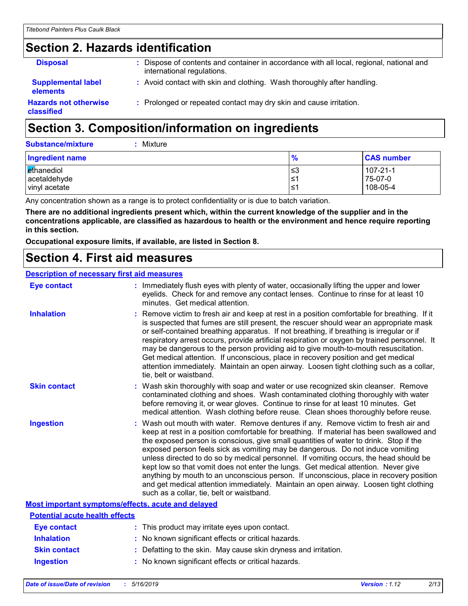### **Section 2. Hazards identification**

| <b>Disposal</b>                              | Dispose of contents and container in accordance with all local, regional, national and<br>international regulations. |
|----------------------------------------------|----------------------------------------------------------------------------------------------------------------------|
| <b>Supplemental label</b><br><b>elements</b> | : Avoid contact with skin and clothing. Wash thoroughly after handling.                                              |
| <b>Hazards not otherwise</b><br>classified   | : Prolonged or repeated contact may dry skin and cause irritation.                                                   |
|                                              |                                                                                                                      |

# **Section 3. Composition/information on ingredients**

| <b>Substance/mixture</b> | $:$ Mixture |
|--------------------------|-------------|
|                          |             |

| Ingredient name | $\frac{9}{6}$ | <b>CAS number</b> |
|-----------------|---------------|-------------------|
| ethanediol      | צ≥            | 107-21-1          |
| acetaldehyde    | 1≥،           | 75-07-0           |
| vinyl acetate   | ≤1            | 108-05-4          |

Any concentration shown as a range is to protect confidentiality or is due to batch variation.

**There are no additional ingredients present which, within the current knowledge of the supplier and in the concentrations applicable, are classified as hazardous to health or the environment and hence require reporting in this section.**

**Occupational exposure limits, if available, are listed in Section 8.**

### **Section 4. First aid measures**

#### **Description of necessary first aid measures**

| <b>Eye contact</b>                                 | : Immediately flush eyes with plenty of water, occasionally lifting the upper and lower<br>eyelids. Check for and remove any contact lenses. Continue to rinse for at least 10<br>minutes. Get medical attention.                                                                                                                                                                                                                                                                                                                                                                                                                                                                                                                                                         |
|----------------------------------------------------|---------------------------------------------------------------------------------------------------------------------------------------------------------------------------------------------------------------------------------------------------------------------------------------------------------------------------------------------------------------------------------------------------------------------------------------------------------------------------------------------------------------------------------------------------------------------------------------------------------------------------------------------------------------------------------------------------------------------------------------------------------------------------|
| <b>Inhalation</b>                                  | : Remove victim to fresh air and keep at rest in a position comfortable for breathing. If it<br>is suspected that fumes are still present, the rescuer should wear an appropriate mask<br>or self-contained breathing apparatus. If not breathing, if breathing is irregular or if<br>respiratory arrest occurs, provide artificial respiration or oxygen by trained personnel. It<br>may be dangerous to the person providing aid to give mouth-to-mouth resuscitation.<br>Get medical attention. If unconscious, place in recovery position and get medical<br>attention immediately. Maintain an open airway. Loosen tight clothing such as a collar,<br>tie, belt or waistband.                                                                                       |
| <b>Skin contact</b>                                | : Wash skin thoroughly with soap and water or use recognized skin cleanser. Remove<br>contaminated clothing and shoes. Wash contaminated clothing thoroughly with water<br>before removing it, or wear gloves. Continue to rinse for at least 10 minutes. Get<br>medical attention. Wash clothing before reuse. Clean shoes thoroughly before reuse.                                                                                                                                                                                                                                                                                                                                                                                                                      |
| <b>Ingestion</b>                                   | : Wash out mouth with water. Remove dentures if any. Remove victim to fresh air and<br>keep at rest in a position comfortable for breathing. If material has been swallowed and<br>the exposed person is conscious, give small quantities of water to drink. Stop if the<br>exposed person feels sick as vomiting may be dangerous. Do not induce vomiting<br>unless directed to do so by medical personnel. If vomiting occurs, the head should be<br>kept low so that vomit does not enter the lungs. Get medical attention. Never give<br>anything by mouth to an unconscious person. If unconscious, place in recovery position<br>and get medical attention immediately. Maintain an open airway. Loosen tight clothing<br>such as a collar, tie, belt or waistband. |
| Most important symptoms/effects, acute and delayed |                                                                                                                                                                                                                                                                                                                                                                                                                                                                                                                                                                                                                                                                                                                                                                           |
| <b>Potential acute health effects</b>              |                                                                                                                                                                                                                                                                                                                                                                                                                                                                                                                                                                                                                                                                                                                                                                           |
| <b>Eye contact</b>                                 | : This product may irritate eyes upon contact.                                                                                                                                                                                                                                                                                                                                                                                                                                                                                                                                                                                                                                                                                                                            |
| <b>Inhalation</b>                                  | : No known significant effects or critical hazards.                                                                                                                                                                                                                                                                                                                                                                                                                                                                                                                                                                                                                                                                                                                       |
| <b>Skin contact</b>                                | : Defatting to the skin. May cause skin dryness and irritation.                                                                                                                                                                                                                                                                                                                                                                                                                                                                                                                                                                                                                                                                                                           |

**Ingestion :** No known significant effects or critical hazards.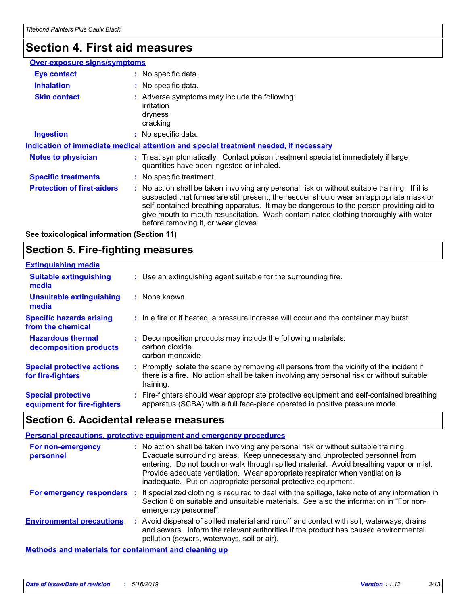### **Section 4. First aid measures**

| <b>Over-exposure signs/symptoms</b> |                                                                                                                                                                                                                                                                                                                                                                                                                 |
|-------------------------------------|-----------------------------------------------------------------------------------------------------------------------------------------------------------------------------------------------------------------------------------------------------------------------------------------------------------------------------------------------------------------------------------------------------------------|
| <b>Eye contact</b>                  | : No specific data.                                                                                                                                                                                                                                                                                                                                                                                             |
| <b>Inhalation</b>                   | : No specific data.                                                                                                                                                                                                                                                                                                                                                                                             |
| <b>Skin contact</b>                 | : Adverse symptoms may include the following:<br>irritation<br>dryness<br>cracking                                                                                                                                                                                                                                                                                                                              |
| <b>Ingestion</b>                    | : No specific data.                                                                                                                                                                                                                                                                                                                                                                                             |
|                                     | Indication of immediate medical attention and special treatment needed, if necessary                                                                                                                                                                                                                                                                                                                            |
| <b>Notes to physician</b>           | : Treat symptomatically. Contact poison treatment specialist immediately if large<br>quantities have been ingested or inhaled.                                                                                                                                                                                                                                                                                  |
| <b>Specific treatments</b>          | : No specific treatment.                                                                                                                                                                                                                                                                                                                                                                                        |
| <b>Protection of first-aiders</b>   | : No action shall be taken involving any personal risk or without suitable training. If it is<br>suspected that fumes are still present, the rescuer should wear an appropriate mask or<br>self-contained breathing apparatus. It may be dangerous to the person providing aid to<br>give mouth-to-mouth resuscitation. Wash contaminated clothing thoroughly with water<br>before removing it, or wear gloves. |
|                                     |                                                                                                                                                                                                                                                                                                                                                                                                                 |

**See toxicological information (Section 11)**

### **Section 5. Fire-fighting measures**

| <b>Extinguishing media</b>                               |                                                                                                                                                                                                     |
|----------------------------------------------------------|-----------------------------------------------------------------------------------------------------------------------------------------------------------------------------------------------------|
| <b>Suitable extinguishing</b><br>media                   | : Use an extinguishing agent suitable for the surrounding fire.                                                                                                                                     |
| Unsuitable extinguishing<br>media                        | : None known.                                                                                                                                                                                       |
| <b>Specific hazards arising</b><br>from the chemical     | : In a fire or if heated, a pressure increase will occur and the container may burst.                                                                                                               |
| <b>Hazardous thermal</b><br>decomposition products       | Decomposition products may include the following materials:<br>carbon dioxide<br>carbon monoxide                                                                                                    |
| <b>Special protective actions</b><br>for fire-fighters   | : Promptly isolate the scene by removing all persons from the vicinity of the incident if<br>there is a fire. No action shall be taken involving any personal risk or without suitable<br>training. |
| <b>Special protective</b><br>equipment for fire-fighters | : Fire-fighters should wear appropriate protective equipment and self-contained breathing<br>apparatus (SCBA) with a full face-piece operated in positive pressure mode.                            |

### **Section 6. Accidental release measures**

#### **Personal precautions, protective equipment and emergency procedures**

| For non-emergency<br>personnel   | : No action shall be taken involving any personal risk or without suitable training.<br>Evacuate surrounding areas. Keep unnecessary and unprotected personnel from<br>entering. Do not touch or walk through spilled material. Avoid breathing vapor or mist.<br>Provide adequate ventilation. Wear appropriate respirator when ventilation is<br>inadequate. Put on appropriate personal protective equipment. |
|----------------------------------|------------------------------------------------------------------------------------------------------------------------------------------------------------------------------------------------------------------------------------------------------------------------------------------------------------------------------------------------------------------------------------------------------------------|
| For emergency responders         | : If specialized clothing is required to deal with the spillage, take note of any information in<br>Section 8 on suitable and unsuitable materials. See also the information in "For non-<br>emergency personnel".                                                                                                                                                                                               |
| <b>Environmental precautions</b> | : Avoid dispersal of spilled material and runoff and contact with soil, waterways, drains<br>and sewers. Inform the relevant authorities if the product has caused environmental<br>pollution (sewers, waterways, soil or air).                                                                                                                                                                                  |
|                                  |                                                                                                                                                                                                                                                                                                                                                                                                                  |

**Methods and materials for containment and cleaning up**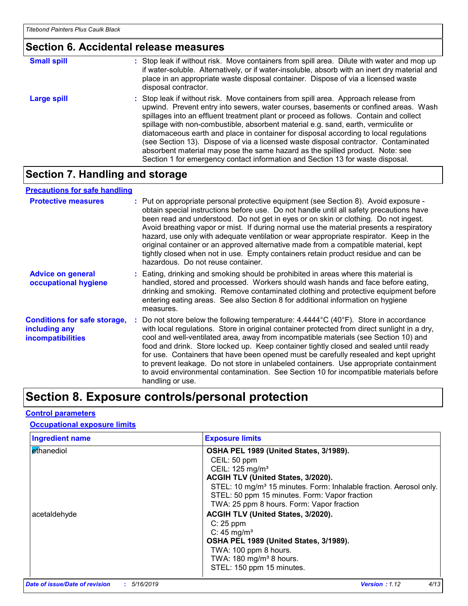### **Section 6. Accidental release measures**

| <b>Small spill</b> | : Stop leak if without risk. Move containers from spill area. Dilute with water and mop up<br>if water-soluble. Alternatively, or if water-insoluble, absorb with an inert dry material and<br>place in an appropriate waste disposal container. Dispose of via a licensed waste<br>disposal contractor.                                                                                                                                                                                                                                                                                                                                                                                                     |
|--------------------|--------------------------------------------------------------------------------------------------------------------------------------------------------------------------------------------------------------------------------------------------------------------------------------------------------------------------------------------------------------------------------------------------------------------------------------------------------------------------------------------------------------------------------------------------------------------------------------------------------------------------------------------------------------------------------------------------------------|
| Large spill        | : Stop leak if without risk. Move containers from spill area. Approach release from<br>upwind. Prevent entry into sewers, water courses, basements or confined areas. Wash<br>spillages into an effluent treatment plant or proceed as follows. Contain and collect<br>spillage with non-combustible, absorbent material e.g. sand, earth, vermiculite or<br>diatomaceous earth and place in container for disposal according to local regulations<br>(see Section 13). Dispose of via a licensed waste disposal contractor. Contaminated<br>absorbent material may pose the same hazard as the spilled product. Note: see<br>Section 1 for emergency contact information and Section 13 for waste disposal. |

### **Section 7. Handling and storage**

#### **Advice on general occupational hygiene Conditions for safe storage, including any incompatibilities** Eating, drinking and smoking should be prohibited in areas where this material is **:** handled, stored and processed. Workers should wash hands and face before eating, drinking and smoking. Remove contaminated clothing and protective equipment before entering eating areas. See also Section 8 for additional information on hygiene measures. Do not store below the following temperature: 4.4444°C (40°F). Store in accordance **:** with local regulations. Store in original container protected from direct sunlight in a dry, cool and well-ventilated area, away from incompatible materials (see Section 10) and food and drink. Store locked up. Keep container tightly closed and sealed until ready for use. Containers that have been opened must be carefully resealed and kept upright to prevent leakage. Do not store in unlabeled containers. Use appropriate containment to avoid environmental contamination. See Section 10 for incompatible materials before handling or use. **Protective measures** : Put on appropriate personal protective equipment (see Section 8). Avoid exposure obtain special instructions before use. Do not handle until all safety precautions have been read and understood. Do not get in eyes or on skin or clothing. Do not ingest. Avoid breathing vapor or mist. If during normal use the material presents a respiratory hazard, use only with adequate ventilation or wear appropriate respirator. Keep in the original container or an approved alternative made from a compatible material, kept tightly closed when not in use. Empty containers retain product residue and can be hazardous. Do not reuse container. **Precautions for safe handling**

### **Section 8. Exposure controls/personal protection**

#### **Control parameters**

#### **Occupational exposure limits**

| <b>Ingredient name</b> | <b>Exposure limits</b>                                                         |
|------------------------|--------------------------------------------------------------------------------|
| Ethanediol             | OSHA PEL 1989 (United States, 3/1989).                                         |
|                        | CEIL: 50 ppm                                                                   |
|                        | CEIL: 125 mg/m <sup>3</sup>                                                    |
|                        | ACGIH TLV (United States, 3/2020).                                             |
|                        | STEL: 10 mg/m <sup>3</sup> 15 minutes. Form: Inhalable fraction. Aerosol only. |
|                        | STEL: 50 ppm 15 minutes. Form: Vapor fraction                                  |
|                        | TWA: 25 ppm 8 hours. Form: Vapor fraction                                      |
| acetaldehyde           | ACGIH TLV (United States, 3/2020).                                             |
|                        | $C: 25$ ppm                                                                    |
|                        | C: $45 \text{ mg/m}^3$                                                         |
|                        | OSHA PEL 1989 (United States, 3/1989).                                         |
|                        | TWA: 100 ppm 8 hours.                                                          |
|                        | TWA: $180 \text{ mg/m}^3$ 8 hours.                                             |
|                        | STEL: 150 ppm 15 minutes.                                                      |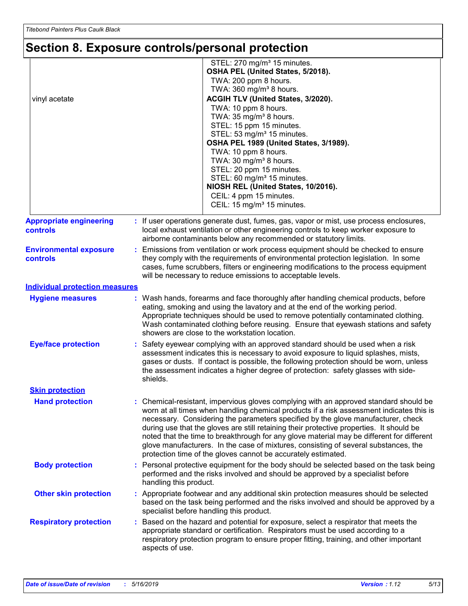# **Section 8. Exposure controls/personal protection**

| vinyl acetate                                     | STEL: 270 mg/m <sup>3</sup> 15 minutes.<br>OSHA PEL (United States, 5/2018).<br>TWA: 200 ppm 8 hours.<br>TWA: 360 mg/m <sup>3</sup> 8 hours.<br>ACGIH TLV (United States, 3/2020).<br>TWA: 10 ppm 8 hours.<br>TWA: 35 mg/m <sup>3</sup> 8 hours.<br>STEL: 15 ppm 15 minutes.<br>STEL: 53 mg/m <sup>3</sup> 15 minutes.<br>OSHA PEL 1989 (United States, 3/1989).<br>TWA: 10 ppm 8 hours.<br>TWA: 30 mg/m <sup>3</sup> 8 hours.<br>STEL: 20 ppm 15 minutes.<br>STEL: 60 mg/m <sup>3</sup> 15 minutes.<br>NIOSH REL (United States, 10/2016).<br>CEIL: 4 ppm 15 minutes.<br>CEIL: 15 mg/m <sup>3</sup> 15 minutes.       |
|---------------------------------------------------|------------------------------------------------------------------------------------------------------------------------------------------------------------------------------------------------------------------------------------------------------------------------------------------------------------------------------------------------------------------------------------------------------------------------------------------------------------------------------------------------------------------------------------------------------------------------------------------------------------------------|
| <b>Appropriate engineering</b><br><b>controls</b> | : If user operations generate dust, fumes, gas, vapor or mist, use process enclosures,<br>local exhaust ventilation or other engineering controls to keep worker exposure to<br>airborne contaminants below any recommended or statutory limits.                                                                                                                                                                                                                                                                                                                                                                       |
| <b>Environmental exposure</b><br>controls         | Emissions from ventilation or work process equipment should be checked to ensure<br>÷.<br>they comply with the requirements of environmental protection legislation. In some<br>cases, fume scrubbers, filters or engineering modifications to the process equipment<br>will be necessary to reduce emissions to acceptable levels.                                                                                                                                                                                                                                                                                    |
| <b>Individual protection measures</b>             |                                                                                                                                                                                                                                                                                                                                                                                                                                                                                                                                                                                                                        |
| <b>Hygiene measures</b>                           | Wash hands, forearms and face thoroughly after handling chemical products, before<br>eating, smoking and using the lavatory and at the end of the working period.<br>Appropriate techniques should be used to remove potentially contaminated clothing.<br>Wash contaminated clothing before reusing. Ensure that eyewash stations and safety<br>showers are close to the workstation location.                                                                                                                                                                                                                        |
| <b>Eye/face protection</b>                        | Safety eyewear complying with an approved standard should be used when a risk<br>assessment indicates this is necessary to avoid exposure to liquid splashes, mists,<br>gases or dusts. If contact is possible, the following protection should be worn, unless<br>the assessment indicates a higher degree of protection: safety glasses with side-<br>shields.                                                                                                                                                                                                                                                       |
| <b>Skin protection</b>                            |                                                                                                                                                                                                                                                                                                                                                                                                                                                                                                                                                                                                                        |
| <b>Hand protection</b>                            | : Chemical-resistant, impervious gloves complying with an approved standard should be<br>worn at all times when handling chemical products if a risk assessment indicates this is<br>necessary. Considering the parameters specified by the glove manufacturer, check<br>during use that the gloves are still retaining their protective properties. It should be<br>noted that the time to breakthrough for any glove material may be different for different<br>glove manufacturers. In the case of mixtures, consisting of several substances, the<br>protection time of the gloves cannot be accurately estimated. |
| <b>Body protection</b>                            | : Personal protective equipment for the body should be selected based on the task being<br>performed and the risks involved and should be approved by a specialist before<br>handling this product.                                                                                                                                                                                                                                                                                                                                                                                                                    |
| <b>Other skin protection</b>                      | : Appropriate footwear and any additional skin protection measures should be selected<br>based on the task being performed and the risks involved and should be approved by a<br>specialist before handling this product.                                                                                                                                                                                                                                                                                                                                                                                              |
| <b>Respiratory protection</b>                     | Based on the hazard and potential for exposure, select a respirator that meets the<br>appropriate standard or certification. Respirators must be used according to a<br>respiratory protection program to ensure proper fitting, training, and other important<br>aspects of use.                                                                                                                                                                                                                                                                                                                                      |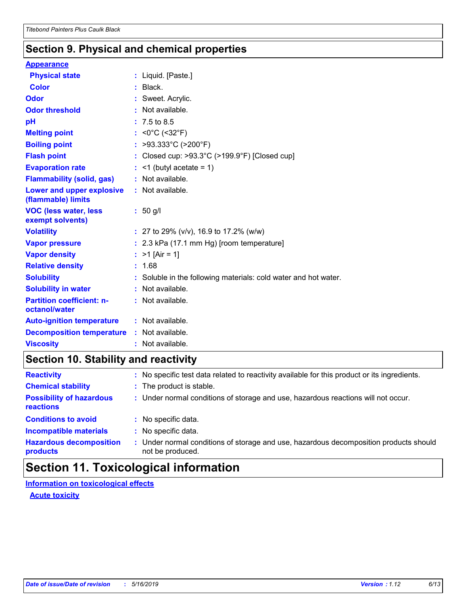### **Section 9. Physical and chemical properties**

#### **Appearance**

| <b>Physical state</b>                             | : Liquid. [Paste.]                                              |
|---------------------------------------------------|-----------------------------------------------------------------|
| <b>Color</b>                                      | $:$ Black.                                                      |
| <b>Odor</b>                                       | : Sweet. Acrylic.                                               |
| <b>Odor threshold</b>                             | $:$ Not available.                                              |
| pH                                                | $: 7.5 \text{ to } 8.5$                                         |
| <b>Melting point</b>                              | : <0°C (<32°F)                                                  |
| <b>Boiling point</b>                              | : >93.333°C (>200°F)                                            |
| <b>Flash point</b>                                | : Closed cup: >93.3°C (>199.9°F) [Closed cup]                   |
| <b>Evaporation rate</b>                           | $:$ <1 (butyl acetate = 1)                                      |
| <b>Flammability (solid, gas)</b>                  | : Not available.                                                |
| Lower and upper explosive<br>(flammable) limits   | : Not available.                                                |
| <b>VOC (less water, less</b><br>exempt solvents)  | : 50 g/l                                                        |
| <b>Volatility</b>                                 | : 27 to 29% ( $v/v$ ), 16.9 to 17.2% ( $w/w$ )                  |
| <b>Vapor pressure</b>                             | : 2.3 kPa (17.1 mm Hg) [room temperature]                       |
| <b>Vapor density</b>                              | : $>1$ [Air = 1]                                                |
| <b>Relative density</b>                           | : 1.68                                                          |
| <b>Solubility</b>                                 | : Soluble in the following materials: cold water and hot water. |
| <b>Solubility in water</b>                        | : Not available.                                                |
| <b>Partition coefficient: n-</b><br>octanol/water | : Not available.                                                |
| <b>Auto-ignition temperature</b>                  | : Not available.                                                |
| <b>Decomposition temperature</b>                  | : Not available.                                                |
| <b>Viscosity</b>                                  | : Not available.                                                |

### **Section 10. Stability and reactivity**

| <b>Reactivity</b>                            |    | : No specific test data related to reactivity available for this product or its ingredients.              |
|----------------------------------------------|----|-----------------------------------------------------------------------------------------------------------|
| <b>Chemical stability</b>                    |    | : The product is stable.                                                                                  |
| <b>Possibility of hazardous</b><br>reactions |    | : Under normal conditions of storage and use, hazardous reactions will not occur.                         |
| <b>Conditions to avoid</b>                   |    | : No specific data.                                                                                       |
| <b>Incompatible materials</b>                | ÷. | No specific data.                                                                                         |
| <b>Hazardous decomposition</b><br>products   |    | : Under normal conditions of storage and use, hazardous decomposition products should<br>not be produced. |

### **Section 11. Toxicological information**

**Information on toxicological effects**

**Acute toxicity**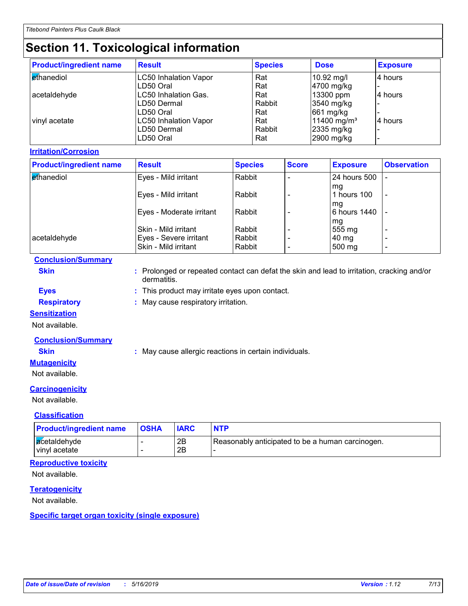# **Section 11. Toxicological information**

| <b>Product/ingredient name</b> | <b>Result</b>                | <b>Species</b> | <b>Dose</b>             | <b>Exposure</b> |
|--------------------------------|------------------------------|----------------|-------------------------|-----------------|
| <b>ethanediol</b>              | <b>LC50 Inhalation Vapor</b> | Rat            | 10.92 mg/l              | 4 hours         |
|                                | LD50 Oral                    | Rat            | 4700 mg/kg              |                 |
| acetaldehyde                   | LC50 Inhalation Gas.         | Rat            | 13300 ppm               | 4 hours         |
|                                | LD50 Dermal                  | Rabbit         | 3540 mg/kg              |                 |
|                                | LD50 Oral                    | Rat            | 661 mg/kg               |                 |
| vinyl acetate                  | <b>LC50 Inhalation Vapor</b> | Rat            | 11400 mg/m <sup>3</sup> | l4 hours        |
|                                | LD50 Dermal                  | Rabbit         | 2335 mg/kg              |                 |
|                                | LD50 Oral                    | Rat            | 2900 mg/kg              |                 |

#### **Irritation/Corrosion**

| <b>Product/ingredient name</b> | <b>Result</b>            | <b>Species</b> | <b>Score</b> | <b>Exposure</b>    | <b>Observation</b>       |
|--------------------------------|--------------------------|----------------|--------------|--------------------|--------------------------|
| ethanediol                     | Eyes - Mild irritant     | Rabbit         |              | 24 hours 500       |                          |
|                                | Eyes - Mild irritant     | Rabbit         |              | mq<br>hours 100    | $\overline{\phantom{a}}$ |
|                                | Eyes - Moderate irritant | Rabbit         |              | mq<br>6 hours 1440 |                          |
|                                | Skin - Mild irritant     | Rabbit         |              | mg<br>555 mg       |                          |
| acetaldehyde                   | Eyes - Severe irritant   | Rabbit         |              | 40 mg              | $\overline{\phantom{0}}$ |
|                                | Skin - Mild irritant     | Rabbit         |              | 500 mg             | $\overline{\phantom{0}}$ |

#### **Conclusion/Summary**

**Skin :** Prolonged or repeated contact can defat the skin and lead to irritation, cracking and/or dermatitis.

**Eyes :** This product may irritate eyes upon contact.

**Respiratory :** May cause respiratory irritation.

### **Sensitization**

Not available.

#### **Conclusion/Summary**

**Skin :** May cause allergic reactions in certain individuals.

### **Mutagenicity**

Not available.

#### **Carcinogenicity**

Not available.

#### **Classification**

| <b>Product/ingredient name</b> | <b>OSHA</b> | <b>IARC</b> | <b>NTP</b>                                       |
|--------------------------------|-------------|-------------|--------------------------------------------------|
| acetaldehyde<br>vinyl acetate  | -           | 2B<br>2Β    | Reasonably anticipated to be a human carcinogen. |

### **Reproductive toxicity**

Not available.

#### **Teratogenicity**

Not available.

#### **Specific target organ toxicity (single exposure)**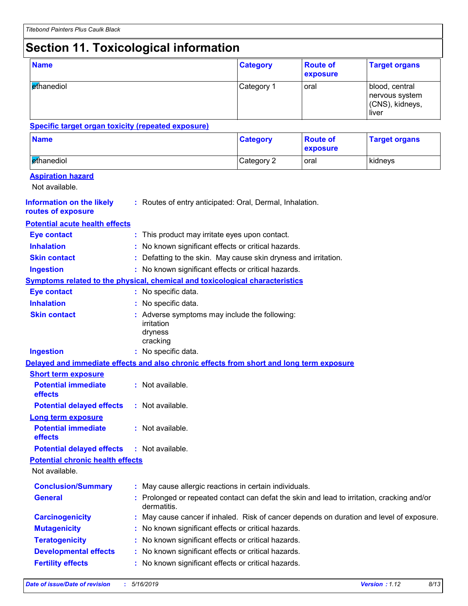# **Section 11. Toxicological information**

| <b>Name</b>                                                                              |                                                     |                                                                                                           | <b>Category</b> | <b>Route of</b><br>exposure | <b>Target organs</b>                                         |  |
|------------------------------------------------------------------------------------------|-----------------------------------------------------|-----------------------------------------------------------------------------------------------------------|-----------------|-----------------------------|--------------------------------------------------------------|--|
| ethanediol                                                                               |                                                     |                                                                                                           | Category 1      | oral                        | blood, central<br>nervous system<br>(CNS), kidneys,<br>liver |  |
| <b>Specific target organ toxicity (repeated exposure)</b>                                |                                                     |                                                                                                           |                 |                             |                                                              |  |
| <b>Name</b>                                                                              |                                                     |                                                                                                           | <b>Category</b> | <b>Route of</b><br>exposure | <b>Target organs</b>                                         |  |
| ethanediol                                                                               |                                                     |                                                                                                           | Category 2      | oral                        | kidneys                                                      |  |
| <b>Aspiration hazard</b><br>Not available.                                               |                                                     |                                                                                                           |                 |                             |                                                              |  |
| <b>Information on the likely</b><br>routes of exposure                                   |                                                     | : Routes of entry anticipated: Oral, Dermal, Inhalation.                                                  |                 |                             |                                                              |  |
| <b>Potential acute health effects</b>                                                    |                                                     |                                                                                                           |                 |                             |                                                              |  |
| <b>Eye contact</b>                                                                       |                                                     | This product may irritate eyes upon contact.                                                              |                 |                             |                                                              |  |
| <b>Inhalation</b>                                                                        |                                                     | No known significant effects or critical hazards.                                                         |                 |                             |                                                              |  |
| <b>Skin contact</b>                                                                      |                                                     | Defatting to the skin. May cause skin dryness and irritation.                                             |                 |                             |                                                              |  |
| <b>Ingestion</b>                                                                         | : No known significant effects or critical hazards. |                                                                                                           |                 |                             |                                                              |  |
| <b>Symptoms related to the physical, chemical and toxicological characteristics</b>      |                                                     |                                                                                                           |                 |                             |                                                              |  |
| <b>Eye contact</b>                                                                       |                                                     | : No specific data.                                                                                       |                 |                             |                                                              |  |
| <b>Inhalation</b>                                                                        |                                                     | : No specific data.                                                                                       |                 |                             |                                                              |  |
| <b>Skin contact</b>                                                                      |                                                     | : Adverse symptoms may include the following:<br>irritation<br>dryness<br>cracking                        |                 |                             |                                                              |  |
| <b>Ingestion</b>                                                                         |                                                     | : No specific data.                                                                                       |                 |                             |                                                              |  |
| Delayed and immediate effects and also chronic effects from short and long term exposure |                                                     |                                                                                                           |                 |                             |                                                              |  |
| <b>Short term exposure</b>                                                               |                                                     |                                                                                                           |                 |                             |                                                              |  |
| <b>Potential immediate</b><br>effects                                                    |                                                     | : Not available.                                                                                          |                 |                             |                                                              |  |
| <b>Potential delayed effects</b>                                                         |                                                     | : Not available.                                                                                          |                 |                             |                                                              |  |
| <b>Long term exposure</b>                                                                |                                                     |                                                                                                           |                 |                             |                                                              |  |
| <b>Potential immediate</b><br>effects                                                    |                                                     | : Not available.                                                                                          |                 |                             |                                                              |  |
| <b>Potential delayed effects</b>                                                         |                                                     | : Not available.                                                                                          |                 |                             |                                                              |  |
| <b>Potential chronic health effects</b>                                                  |                                                     |                                                                                                           |                 |                             |                                                              |  |
| Not available.                                                                           |                                                     |                                                                                                           |                 |                             |                                                              |  |
| <b>Conclusion/Summary</b>                                                                |                                                     | : May cause allergic reactions in certain individuals.                                                    |                 |                             |                                                              |  |
| <b>General</b>                                                                           |                                                     | : Prolonged or repeated contact can defat the skin and lead to irritation, cracking and/or<br>dermatitis. |                 |                             |                                                              |  |
| <b>Carcinogenicity</b>                                                                   |                                                     | May cause cancer if inhaled. Risk of cancer depends on duration and level of exposure.                    |                 |                             |                                                              |  |
| <b>Mutagenicity</b>                                                                      |                                                     | No known significant effects or critical hazards.                                                         |                 |                             |                                                              |  |
| <b>Teratogenicity</b>                                                                    |                                                     | No known significant effects or critical hazards.                                                         |                 |                             |                                                              |  |
| <b>Developmental effects</b>                                                             |                                                     | No known significant effects or critical hazards.                                                         |                 |                             |                                                              |  |
| <b>Fertility effects</b>                                                                 |                                                     | : No known significant effects or critical hazards.                                                       |                 |                             |                                                              |  |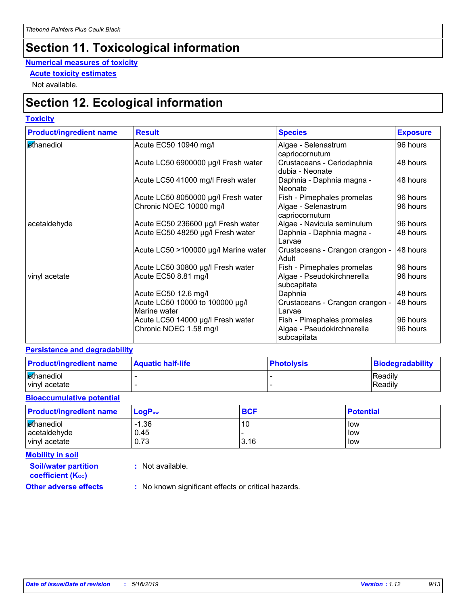# **Section 11. Toxicological information**

#### **Numerical measures of toxicity**

**Acute toxicity estimates**

Not available.

### **Section 12. Ecological information**

#### **Toxicity**

| <b>Product/ingredient name</b> | <b>Result</b>                                   | <b>Species</b>                                | <b>Exposure</b> |
|--------------------------------|-------------------------------------------------|-----------------------------------------------|-----------------|
| ethanediol                     | Acute EC50 10940 mg/l                           | Algae - Selenastrum<br>capriocornutum         | 96 hours        |
|                                | Acute LC50 6900000 µg/l Fresh water             | Crustaceans - Ceriodaphnia<br>dubia - Neonate | 48 hours        |
|                                | Acute LC50 41000 mg/l Fresh water               | Daphnia - Daphnia magna -<br>Neonate          | 48 hours        |
|                                | Acute LC50 8050000 µg/l Fresh water             | Fish - Pimephales promelas                    | 96 hours        |
|                                | Chronic NOEC 10000 mg/l                         | Algae - Selenastrum<br>capriocornutum         | 96 hours        |
| acetaldehyde                   | Acute EC50 236600 µg/l Fresh water              | Algae - Navicula seminulum                    | 96 hours        |
|                                | Acute EC50 48250 µg/l Fresh water               | Daphnia - Daphnia magna -<br>l Larvae         | 48 hours        |
|                                | Acute LC50 >100000 µg/l Marine water            | Crustaceans - Crangon crangon -<br>Adult      | 48 hours        |
|                                | Acute LC50 30800 µg/l Fresh water               | Fish - Pimephales promelas                    | 96 hours        |
| vinyl acetate                  | Acute EC50 8.81 mg/l                            | Algae - Pseudokirchnerella<br>subcapitata     | 96 hours        |
|                                | Acute EC50 12.6 mg/l                            | Daphnia                                       | 48 hours        |
|                                | Acute LC50 10000 to 100000 µg/l<br>Marine water | Crustaceans - Crangon crangon -<br>Larvae     | 48 hours        |
|                                | Acute LC50 14000 µg/l Fresh water               | Fish - Pimephales promelas                    | 96 hours        |
|                                | Chronic NOEC 1.58 mg/l                          | Algae - Pseudokirchnerella<br>subcapitata     | 96 hours        |

#### **Persistence and degradability**

| <b>Product/ingredient name</b> | <b>Aquatic half-life</b> | <b>Photolysis</b> | Biodegradability |
|--------------------------------|--------------------------|-------------------|------------------|
| ethanediol                     |                          |                   | Readily          |
| vinyl acetate                  |                          |                   | Readily          |

#### **Bioaccumulative potential**

| <b>Product/ingredient name</b> | $\mathsf{LogP}_\mathsf{ow}$ | <b>BCF</b> | <b>Potential</b> |
|--------------------------------|-----------------------------|------------|------------------|
| ethanediol<br>acetaldehyde     | $-1.36$<br>0.45             | 10         | low<br>low       |
| vinyl acetate                  | 0.73                        | 3.16       | low              |

**Mobility in soil**

**:** Not available.

**coefficient (KOC)**

**Soil/water partition** 

**Other adverse effects** : No known significant effects or critical hazards.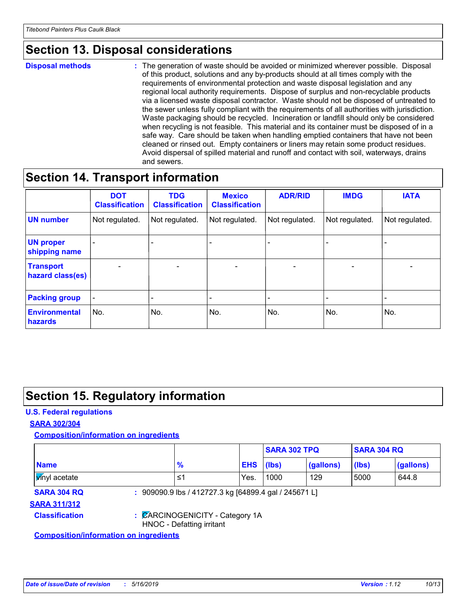### **Section 13. Disposal considerations**

#### **Disposal methods :**

The generation of waste should be avoided or minimized wherever possible. Disposal of this product, solutions and any by-products should at all times comply with the requirements of environmental protection and waste disposal legislation and any regional local authority requirements. Dispose of surplus and non-recyclable products via a licensed waste disposal contractor. Waste should not be disposed of untreated to the sewer unless fully compliant with the requirements of all authorities with jurisdiction. Waste packaging should be recycled. Incineration or landfill should only be considered when recycling is not feasible. This material and its container must be disposed of in a safe way. Care should be taken when handling emptied containers that have not been cleaned or rinsed out. Empty containers or liners may retain some product residues. Avoid dispersal of spilled material and runoff and contact with soil, waterways, drains and sewers.

### **Section 14. Transport information**

|                                      | <b>DOT</b><br><b>Classification</b> | <b>TDG</b><br><b>Classification</b> | <b>Mexico</b><br><b>Classification</b> | <b>ADR/RID</b>           | <b>IMDG</b>              | <b>IATA</b>              |
|--------------------------------------|-------------------------------------|-------------------------------------|----------------------------------------|--------------------------|--------------------------|--------------------------|
| <b>UN number</b>                     | Not regulated.                      | Not regulated.                      | Not regulated.                         | Not regulated.           | Not regulated.           | Not regulated.           |
| <b>UN proper</b><br>shipping name    |                                     |                                     |                                        |                          |                          |                          |
| <b>Transport</b><br>hazard class(es) | $\overline{\phantom{m}}$            | $\overline{\phantom{0}}$            | $\overline{\phantom{a}}$               | $\overline{\phantom{a}}$ | $\overline{\phantom{0}}$ | $\overline{\phantom{0}}$ |
| <b>Packing group</b>                 | $\qquad \qquad \blacksquare$        |                                     |                                        |                          |                          |                          |
| <b>Environmental</b><br>hazards      | No.                                 | No.                                 | No.                                    | No.                      | No.                      | No.                      |

### **Section 15. Regulatory information**

#### **U.S. Federal regulations**

#### **SARA 302/304**

**Composition/information on ingredients**

|                                               |                           |                                                       | <b>SARA 302 TPQ</b> |           | <b>SARA 304 RQ</b> |           |
|-----------------------------------------------|---------------------------|-------------------------------------------------------|---------------------|-----------|--------------------|-----------|
| <b>Name</b>                                   | $\frac{9}{6}$             |                                                       | <b>EHS</b><br>(lbs) | (gallons) | (lbs)              | (gallons) |
| <b>Vinyl</b> acetate                          | 1≥                        | Yes.                                                  | 1000                | 129       | 5000               | 644.8     |
| <b>SARA 304 RQ</b>                            |                           | : 909090.9 lbs / 412727.3 kg [64899.4 gal / 245671 L] |                     |           |                    |           |
| <b>SARA 311/312</b>                           |                           |                                                       |                     |           |                    |           |
| <b>Classification</b>                         | HNOC - Defatting irritant | : CARCINOGENICITY - Category 1A                       |                     |           |                    |           |
| <b>Composition/information on ingredients</b> |                           |                                                       |                     |           |                    |           |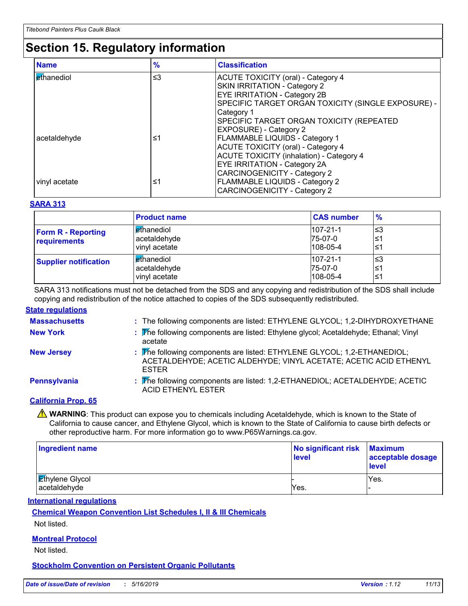# **Section 15. Regulatory information**

| <b>Name</b>       | $\frac{9}{6}$ | <b>Classification</b>                              |
|-------------------|---------------|----------------------------------------------------|
| <b>ethanediol</b> | $\leq$ 3      | <b>ACUTE TOXICITY (oral) - Category 4</b>          |
|                   |               | SKIN IRRITATION - Category 2                       |
|                   |               | <b>EYE IRRITATION - Category 2B</b>                |
|                   |               | SPECIFIC TARGET ORGAN TOXICITY (SINGLE EXPOSURE) - |
|                   |               | Category 1                                         |
|                   |               | SPECIFIC TARGET ORGAN TOXICITY (REPEATED           |
|                   |               | <b>EXPOSURE) - Category 2</b>                      |
| acetaldehyde      | ≤1            | <b>FLAMMABLE LIQUIDS - Category 1</b>              |
|                   |               | <b>ACUTE TOXICITY (oral) - Category 4</b>          |
|                   |               | <b>ACUTE TOXICITY (inhalation) - Category 4</b>    |
|                   |               | <b>EYE IRRITATION - Category 2A</b>                |
|                   |               | <b>CARCINOGENICITY - Category 2</b>                |
| vinyl acetate     | ≤1            | <b>FLAMMABLE LIQUIDS - Category 2</b>              |
|                   |               | <b>CARCINOGENICITY - Category 2</b>                |

#### **SARA 313**

|                                           | <b>Product name</b>                                         | <b>CAS number</b>                           | $\frac{9}{6}$   |
|-------------------------------------------|-------------------------------------------------------------|---------------------------------------------|-----------------|
| <b>Form R - Reporting</b><br>requirements | l <mark>e</mark> thanediol<br>acetaldehyde<br>vinyl acetate | $107 - 21 - 1$<br>75-07-0<br>$108 - 05 - 4$ | צ≥ا<br>≤1<br>≤1 |
| <b>Supplier notification</b>              | l ethanediol<br>acetaldehyde<br>vinyl acetate               | $107 - 21 - 1$<br>75-07-0<br>$108 - 05 - 4$ | צ≥ا<br>≤1<br>≤1 |

SARA 313 notifications must not be detached from the SDS and any copying and redistribution of the SDS shall include copying and redistribution of the notice attached to copies of the SDS subsequently redistributed.

#### **State regulations**

| <b>Massachusetts</b> | : The following components are listed: ETHYLENE GLYCOL; 1,2-DIHYDROXYETHANE                                                                                  |
|----------------------|--------------------------------------------------------------------------------------------------------------------------------------------------------------|
| <b>New York</b>      | : The following components are listed: Ethylene glycol; Acetaldehyde; Ethanal; Vinyl<br>acetate                                                              |
| <b>New Jersey</b>    | : The following components are listed: ETHYLENE GLYCOL; 1,2-ETHANEDIOL;<br>ACETALDEHYDE; ACETIC ALDEHYDE; VINYL ACETATE; ACETIC ACID ETHENYL<br><b>ESTER</b> |
| Pennsylvania         | : The following components are listed: 1,2-ETHANEDIOL; ACETALDEHYDE; ACETIC<br><b>ACID ETHENYL ESTER</b>                                                     |
| $\sim$ $\sim$ $\sim$ |                                                                                                                                                              |

#### **California Prop. 65**

**A** WARNING: This product can expose you to chemicals including Acetaldehyde, which is known to the State of California to cause cancer, and Ethylene Glycol, which is known to the State of California to cause birth defects or other reproductive harm. For more information go to www.P65Warnings.ca.gov.

| <b>Ingredient name</b>                 | No significant risk<br>level | <b>Maximum</b><br>acceptable dosage<br><b>level</b> |
|----------------------------------------|------------------------------|-----------------------------------------------------|
| <b>Ethylene Glycol</b><br>acetaldehyde | Yes.                         | Yes.                                                |
|                                        |                              |                                                     |

**International regulations**

**Chemical Weapon Convention List Schedules I, II & III Chemicals**

Not listed.

#### **Montreal Protocol**

Not listed.

**Stockholm Convention on Persistent Organic Pollutants**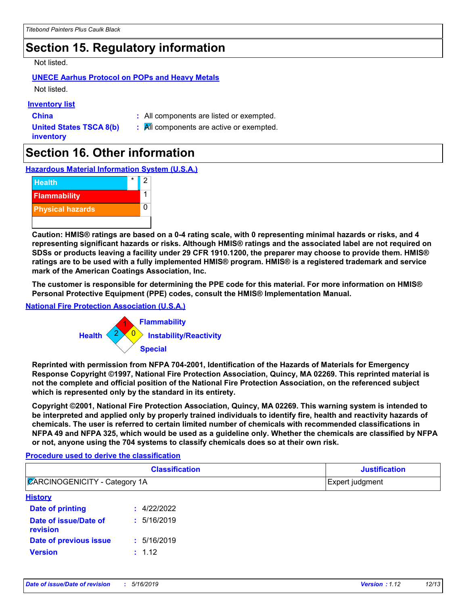### **Section 15. Regulatory information**

#### Not listed.

### **UNECE Aarhus Protocol on POPs and Heavy Metals**

Not listed.

#### **Inventory list**

**China :** All components are listed or exempted.

**United States TSCA 8(b) inventory**

**:** All components are active or exempted.

### **Section 16. Other information**

**Hazardous Material Information System (U.S.A.)**



**Caution: HMIS® ratings are based on a 0-4 rating scale, with 0 representing minimal hazards or risks, and 4 representing significant hazards or risks. Although HMIS® ratings and the associated label are not required on SDSs or products leaving a facility under 29 CFR 1910.1200, the preparer may choose to provide them. HMIS® ratings are to be used with a fully implemented HMIS® program. HMIS® is a registered trademark and service mark of the American Coatings Association, Inc.**

**The customer is responsible for determining the PPE code for this material. For more information on HMIS® Personal Protective Equipment (PPE) codes, consult the HMIS® Implementation Manual.**

#### **National Fire Protection Association (U.S.A.)**



**Reprinted with permission from NFPA 704-2001, Identification of the Hazards of Materials for Emergency Response Copyright ©1997, National Fire Protection Association, Quincy, MA 02269. This reprinted material is not the complete and official position of the National Fire Protection Association, on the referenced subject which is represented only by the standard in its entirety.**

**Copyright ©2001, National Fire Protection Association, Quincy, MA 02269. This warning system is intended to be interpreted and applied only by properly trained individuals to identify fire, health and reactivity hazards of chemicals. The user is referred to certain limited number of chemicals with recommended classifications in NFPA 49 and NFPA 325, which would be used as a guideline only. Whether the chemicals are classified by NFPA or not, anyone using the 704 systems to classify chemicals does so at their own risk.**

#### **Procedure used to derive the classification**

| <b>Classification</b><br><b>ZARCINOGENICITY - Category 1A</b> |             | <b>Justification</b><br>Expert judgment |  |
|---------------------------------------------------------------|-------------|-----------------------------------------|--|
|                                                               |             |                                         |  |
| Date of printing                                              | : 4/22/2022 |                                         |  |
| Date of issue/Date of<br>revision                             | : 5/16/2019 |                                         |  |
| Date of previous issue                                        | : 5/16/2019 |                                         |  |
| <b>Version</b>                                                | : 1.12      |                                         |  |